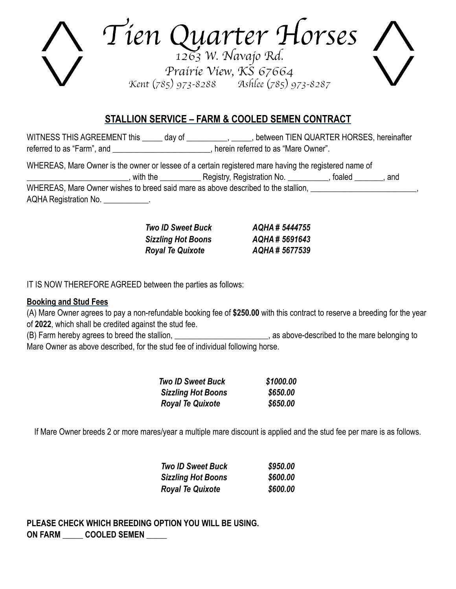Tien Quarter Horses Prairie View, KS 67664 Kent (785) 973-8288 Ashlee (785) 973-8287

# **STALLION SERVICE – FARM & COOLED SEMEN CONTRACT**

WITNESS THIS AGREEMENT this \_\_\_\_\_ day of \_\_\_\_\_\_\_\_\_, \_\_\_\_\_, between TIEN QUARTER HORSES, hereinafter referred to as "Farm", and \_\_\_\_\_\_\_\_\_\_\_\_\_\_\_\_\_\_\_\_\_\_\_\_, herein referred to as "Mare Owner".

WHEREAS, Mare Owner is the owner or lessee of a certain registered mare having the registered name of \_\_\_\_\_\_\_\_\_\_\_\_\_\_\_\_\_\_\_\_\_\_\_\_\_, with the \_\_\_\_\_\_\_\_\_\_ Registry, Registration No. \_\_\_\_\_\_\_\_\_\_, foaled \_\_\_\_\_\_\_, and WHEREAS, Mare Owner wishes to breed said mare as above described to the stallion, **we are all the stature of the stature of the stature of the stature of the stature of the stature of the stature of the stature of the stat** AQHA Registration No. \_\_\_\_\_\_\_\_\_\_\_\_.

| <b>Two ID Sweet Buck</b>  | AQHA# 5444755 |
|---------------------------|---------------|
| <b>Sizzling Hot Boons</b> | AQHA# 5691643 |
| <b>Royal Te Quixote</b>   | AQHA# 5677539 |

IT IS NOW THEREFORE AGREED between the parties as follows:

#### **Booking and Stud Fees**

(A) Mare Owner agrees to pay a non-refundable booking fee of **\$250.00** with this contract to reserve a breeding for the year of **2022**, which shall be credited against the stud fee.

(B) Farm hereby agrees to breed the stallion, \_\_\_\_\_\_\_\_\_\_\_\_\_\_\_\_\_\_\_\_\_\_\_, as above-described to the mare belonging to Mare Owner as above described, for the stud fee of individual following horse.

| <b>Two ID Sweet Buck</b>  | \$1000.00 |
|---------------------------|-----------|
| <b>Sizzling Hot Boons</b> | \$650,00  |
| <b>Royal Te Quixote</b>   | \$650,00  |

If Mare Owner breeds 2 or more mares/year a multiple mare discount is applied and the stud fee per mare is as follows.

| <b>Two ID Sweet Buck</b>  | \$950.00 |
|---------------------------|----------|
| <b>Sizzling Hot Boons</b> | \$600.00 |
| <b>Royal Te Quixote</b>   | \$600.00 |

**PLEASE CHECK WHICH BREEDING OPTION YOU WILL BE USING. ON FARM \_\_\_\_\_ COOLED SEMEN \_\_\_\_\_**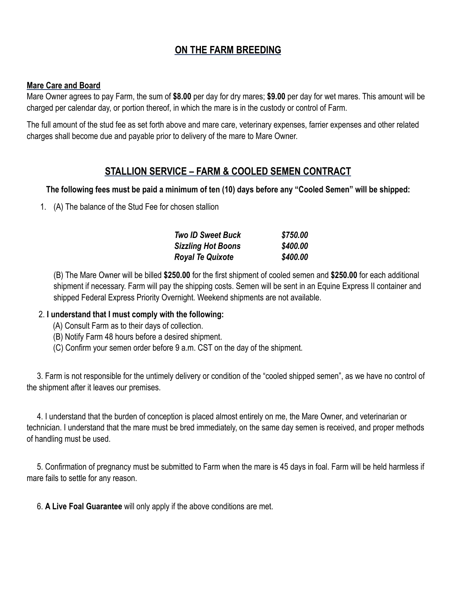# **ON THE FARM BREEDING**

#### **Mare Care and Board**

Mare Owner agrees to pay Farm, the sum of **\$8.00** per day for dry mares; **\$9.00** per day for wet mares. This amount will be charged per calendar day, or portion thereof, in which the mare is in the custody or control of Farm.

The full amount of the stud fee as set forth above and mare care, veterinary expenses, farrier expenses and other related charges shall become due and payable prior to delivery of the mare to Mare Owner.

### **STALLION SERVICE – FARM & COOLED SEMEN CONTRACT**

#### **The following fees must be paid a minimum of ten (10) days before any "Cooled Semen" will be shipped:**

1. (A) The balance of the Stud Fee for chosen stallion

| <b>Two ID Sweet Buck</b>  | \$750.00 |
|---------------------------|----------|
| <b>Sizzling Hot Boons</b> | \$400.00 |
| <b>Royal Te Quixote</b>   | \$400.00 |

(B) The Mare Owner will be billed **\$250.00** for the first shipment of cooled semen and **\$250.00** for each additional shipment if necessary. Farm will pay the shipping costs. Semen will be sent in an Equine Express II container and shipped Federal Express Priority Overnight. Weekend shipments are not available.

#### 2. **I understand that I must comply with the following:**

- (A) Consult Farm as to their days of collection.
- (B) Notify Farm 48 hours before a desired shipment.
- (C) Confirm your semen order before 9 a.m. CST on the day of the shipment.

 3. Farm is not responsible for the untimely delivery or condition of the "cooled shipped semen", as we have no control of the shipment after it leaves our premises.

 4. I understand that the burden of conception is placed almost entirely on me, the Mare Owner, and veterinarian or technician. I understand that the mare must be bred immediately, on the same day semen is received, and proper methods of handling must be used.

 5. Confirmation of pregnancy must be submitted to Farm when the mare is 45 days in foal. Farm will be held harmless if mare fails to settle for any reason.

6. **A Live Foal Guarantee** will only apply if the above conditions are met.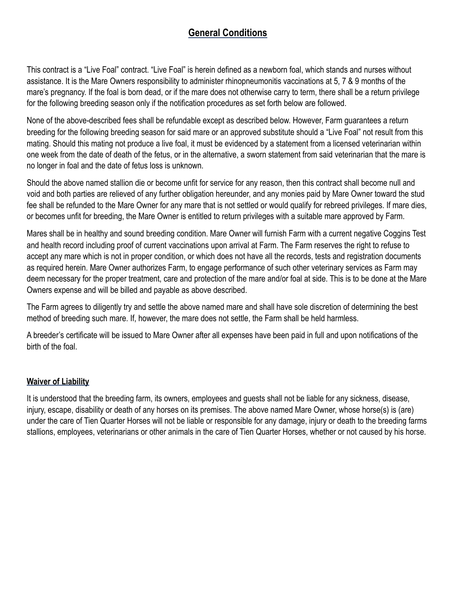# **General Conditions**

This contract is a "Live Foal" contract. "Live Foal" is herein defined as a newborn foal, which stands and nurses without assistance. It is the Mare Owners responsibility to administer rhinopneumonitis vaccinations at 5, 7 & 9 months of the mare's pregnancy. If the foal is born dead, or if the mare does not otherwise carry to term, there shall be a return privilege for the following breeding season only if the notification procedures as set forth below are followed.

None of the above-described fees shall be refundable except as described below. However, Farm guarantees a return breeding for the following breeding season for said mare or an approved substitute should a "Live Foal" not result from this mating. Should this mating not produce a live foal, it must be evidenced by a statement from a licensed veterinarian within one week from the date of death of the fetus, or in the alternative, a sworn statement from said veterinarian that the mare is no longer in foal and the date of fetus loss is unknown.

Should the above named stallion die or become unfit for service for any reason, then this contract shall become null and void and both parties are relieved of any further obligation hereunder, and any monies paid by Mare Owner toward the stud fee shall be refunded to the Mare Owner for any mare that is not settled or would qualify for rebreed privileges. If mare dies, or becomes unfit for breeding, the Mare Owner is entitled to return privileges with a suitable mare approved by Farm.

Mares shall be in healthy and sound breeding condition. Mare Owner will furnish Farm with a current negative Coggins Test and health record including proof of current vaccinations upon arrival at Farm. The Farm reserves the right to refuse to accept any mare which is not in proper condition, or which does not have all the records, tests and registration documents as required herein. Mare Owner authorizes Farm, to engage performance of such other veterinary services as Farm may deem necessary for the proper treatment, care and protection of the mare and/or foal at side. This is to be done at the Mare Owners expense and will be billed and payable as above described.

The Farm agrees to diligently try and settle the above named mare and shall have sole discretion of determining the best method of breeding such mare. If, however, the mare does not settle, the Farm shall be held harmless.

A breeder's certificate will be issued to Mare Owner after all expenses have been paid in full and upon notifications of the birth of the foal.

#### **Waiver of Liability**

It is understood that the breeding farm, its owners, employees and guests shall not be liable for any sickness, disease, injury, escape, disability or death of any horses on its premises. The above named Mare Owner, whose horse(s) is (are) under the care of Tien Quarter Horses will not be liable or responsible for any damage, injury or death to the breeding farms stallions, employees, veterinarians or other animals in the care of Tien Quarter Horses, whether or not caused by his horse.